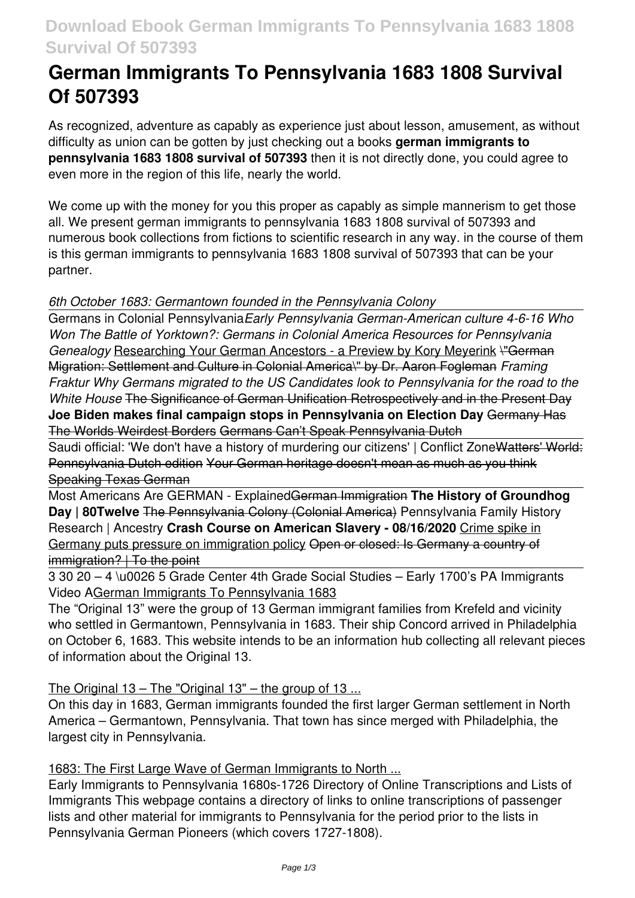# **Download Ebook German Immigrants To Pennsylvania 1683 1808 Survival Of 507393**

# **German Immigrants To Pennsylvania 1683 1808 Survival Of 507393**

As recognized, adventure as capably as experience just about lesson, amusement, as without difficulty as union can be gotten by just checking out a books **german immigrants to pennsylvania 1683 1808 survival of 507393** then it is not directly done, you could agree to even more in the region of this life, nearly the world.

We come up with the money for you this proper as capably as simple mannerism to get those all. We present german immigrants to pennsylvania 1683 1808 survival of 507393 and numerous book collections from fictions to scientific research in any way. in the course of them is this german immigrants to pennsylvania 1683 1808 survival of 507393 that can be your partner.

# *6th October 1683: Germantown founded in the Pennsylvania Colony*

Germans in Colonial Pennsylvania*Early Pennsylvania German-American culture 4-6-16 Who Won The Battle of Yorktown?: Germans in Colonial America Resources for Pennsylvania Genealogy* Researching Your German Ancestors - a Preview by Kory Meyerink \"German Migration: Settlement and Culture in Colonial America\" by Dr. Aaron Fogleman *Framing Fraktur Why Germans migrated to the US Candidates look to Pennsylvania for the road to the White House* The Significance of German Unification Retrospectively and in the Present Day **Joe Biden makes final campaign stops in Pennsylvania on Election Day** Germany Has The Worlds Weirdest Borders Germans Can't Speak Pennsylvania Dutch

Saudi official: 'We don't have a history of murdering our citizens' | Conflict Zone Watters' World: Pennsylvania Dutch edition Your German heritage doesn't mean as much as you think Speaking Texas German

Most Americans Are GERMAN - ExplainedGerman Immigration **The History of Groundhog** Day | 80Twelve The Pennsylvania Colony (Colonial America) Pennsylvania Family History Research | Ancestry **Crash Course on American Slavery - 08/16/2020** Crime spike in Germany puts pressure on immigration policy Open or closed: Is Germany a country of immigration? | To the point

3 30 20 – 4 \u0026 5 Grade Center 4th Grade Social Studies – Early 1700's PA Immigrants Video AGerman Immigrants To Pennsylvania 1683

The "Original 13" were the group of 13 German immigrant families from Krefeld and vicinity who settled in Germantown, Pennsylvania in 1683. Their ship Concord arrived in Philadelphia on October 6, 1683. This website intends to be an information hub collecting all relevant pieces of information about the Original 13.

The Original 13 – The "Original 13" – the group of 13 ...

On this day in 1683, German immigrants founded the first larger German settlement in North America – Germantown, Pennsylvania. That town has since merged with Philadelphia, the largest city in Pennsylvania.

1683: The First Large Wave of German Immigrants to North ...

Early Immigrants to Pennsylvania 1680s-1726 Directory of Online Transcriptions and Lists of Immigrants This webpage contains a directory of links to online transcriptions of passenger lists and other material for immigrants to Pennsylvania for the period prior to the lists in Pennsylvania German Pioneers (which covers 1727-1808).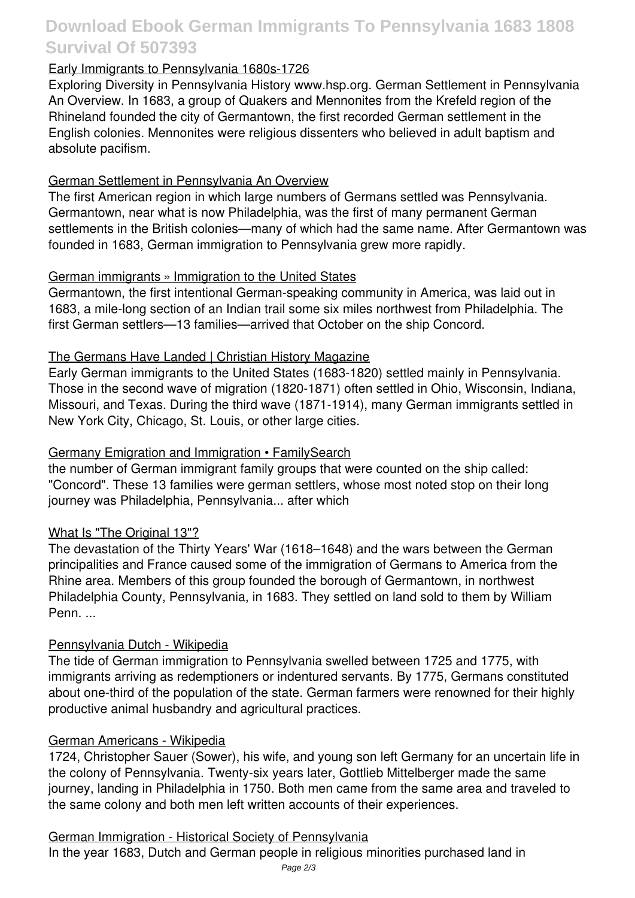# **Download Ebook German Immigrants To Pennsylvania 1683 1808 Survival Of 507393**

### Early Immigrants to Pennsylvania 1680s-1726

Exploring Diversity in Pennsylvania History www.hsp.org. German Settlement in Pennsylvania An Overview. In 1683, a group of Quakers and Mennonites from the Krefeld region of the Rhineland founded the city of Germantown, the first recorded German settlement in the English colonies. Mennonites were religious dissenters who believed in adult baptism and absolute pacifism.

# German Settlement in Pennsylvania An Overview

The first American region in which large numbers of Germans settled was Pennsylvania. Germantown, near what is now Philadelphia, was the first of many permanent German settlements in the British colonies—many of which had the same name. After Germantown was founded in 1683, German immigration to Pennsylvania grew more rapidly.

# German immigrants » Immigration to the United States

Germantown, the first intentional German-speaking community in America, was laid out in 1683, a mile-long section of an Indian trail some six miles northwest from Philadelphia. The first German settlers—13 families—arrived that October on the ship Concord.

# The Germans Have Landed | Christian History Magazine

Early German immigrants to the United States (1683-1820) settled mainly in Pennsylvania. Those in the second wave of migration (1820-1871) often settled in Ohio, Wisconsin, Indiana, Missouri, and Texas. During the third wave (1871-1914), many German immigrants settled in New York City, Chicago, St. Louis, or other large cities.

### Germany Emigration and Immigration • FamilySearch

the number of German immigrant family groups that were counted on the ship called: "Concord". These 13 families were german settlers, whose most noted stop on their long journey was Philadelphia, Pennsylvania... after which

#### What Is "The Original 13"?

The devastation of the Thirty Years' War (1618–1648) and the wars between the German principalities and France caused some of the immigration of Germans to America from the Rhine area. Members of this group founded the borough of Germantown, in northwest Philadelphia County, Pennsylvania, in 1683. They settled on land sold to them by William Penn. ...

#### Pennsylvania Dutch - Wikipedia

The tide of German immigration to Pennsylvania swelled between 1725 and 1775, with immigrants arriving as redemptioners or indentured servants. By 1775, Germans constituted about one-third of the population of the state. German farmers were renowned for their highly productive animal husbandry and agricultural practices.

#### German Americans - Wikipedia

1724, Christopher Sauer (Sower), his wife, and young son left Germany for an uncertain life in the colony of Pennsylvania. Twenty-six years later, Gottlieb Mittelberger made the same journey, landing in Philadelphia in 1750. Both men came from the same area and traveled to the same colony and both men left written accounts of their experiences.

#### German Immigration - Historical Society of Pennsylvania

In the year 1683, Dutch and German people in religious minorities purchased land in